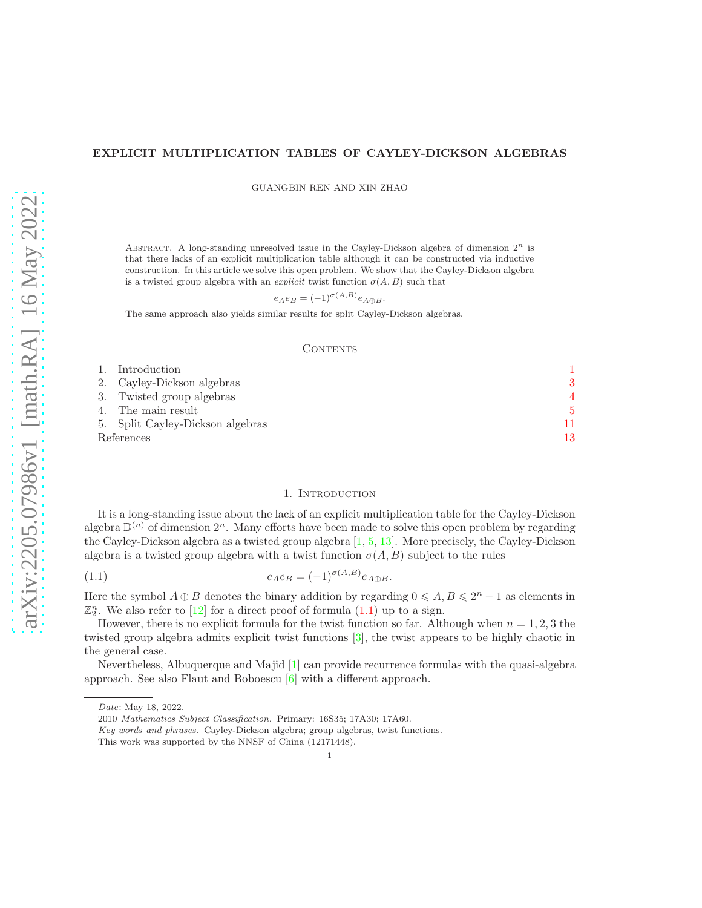# EXPLICIT MULTIPLICATION TABLES OF CAYLEY-DICKSON ALGEBRAS

GUANGBIN REN AND XIN ZHAO

ABSTRACT. A long-standing unresolved issue in the Cayley-Dickson algebra of dimension  $2^n$  is that there lacks of an explicit multiplication table although it can be constructed via inductive construction. In this article we solve this open problem. We show that the Cayley-Dickson algebra is a twisted group algebra with an *explicit* twist function  $\sigma(A, B)$  such that

$$
e_A e_B = (-1)^{\sigma(A,B)} e_{A \oplus B}.
$$

The same approach also yields similar results for split Cayley-Dickson algebras.

### **CONTENTS**

| 1. Introduction                  |    |
|----------------------------------|----|
| 2. Cayley-Dickson algebras       |    |
| 3. Twisted group algebras        |    |
| 4. The main result               | 5  |
| 5. Split Cayley-Dickson algebras | 11 |
| References                       | 13 |

## <span id="page-0-1"></span>1. INTRODUCTION

<span id="page-0-0"></span>It is a long-standing issue about the lack of an explicit multiplication table for the Cayley-Dickson algebra  $\mathbb{D}^{(n)}$  of dimension  $2^n$ . Many efforts have been made to solve this open problem by regarding the Cayley-Dickson algebra as a twisted group algebra [\[1,](#page-12-1) [5,](#page-12-2) [13\]](#page-12-3). More precisely, the Cayley-Dickson algebra is a twisted group algebra with a twist function  $\sigma(A, B)$  subject to the rules

$$
(1.1) \qquad \qquad e_A e_B = (-1)^{\sigma(A,B)} e_{A \oplus B}.
$$

Here the symbol  $A \oplus B$  denotes the binary addition by regarding  $0 \leq A, B \leq 2^{n} - 1$  as elements in  $\mathbb{Z}_2^n$ . We also refer to [\[12\]](#page-12-4) for a direct proof of formula  $(1.1)$  up to a sign.

However, there is no explicit formula for the twist function so far. Although when  $n = 1, 2, 3$  the twisted group algebra admits explicit twist functions [\[3\]](#page-12-5), the twist appears to be highly chaotic in the general case.

Nevertheless, Albuquerque and Majid [\[1\]](#page-12-1) can provide recurrence formulas with the quasi-algebra approach. See also Flaut and Boboescu  $[6]$  with a different approach.

Date: May 18, 2022.

<sup>2010</sup> Mathematics Subject Classification. Primary: 16S35; 17A30; 17A60.

Key words and phrases. Cayley-Dickson algebra; group algebras, twist functions.

This work was supported by the NNSF of China (12171448).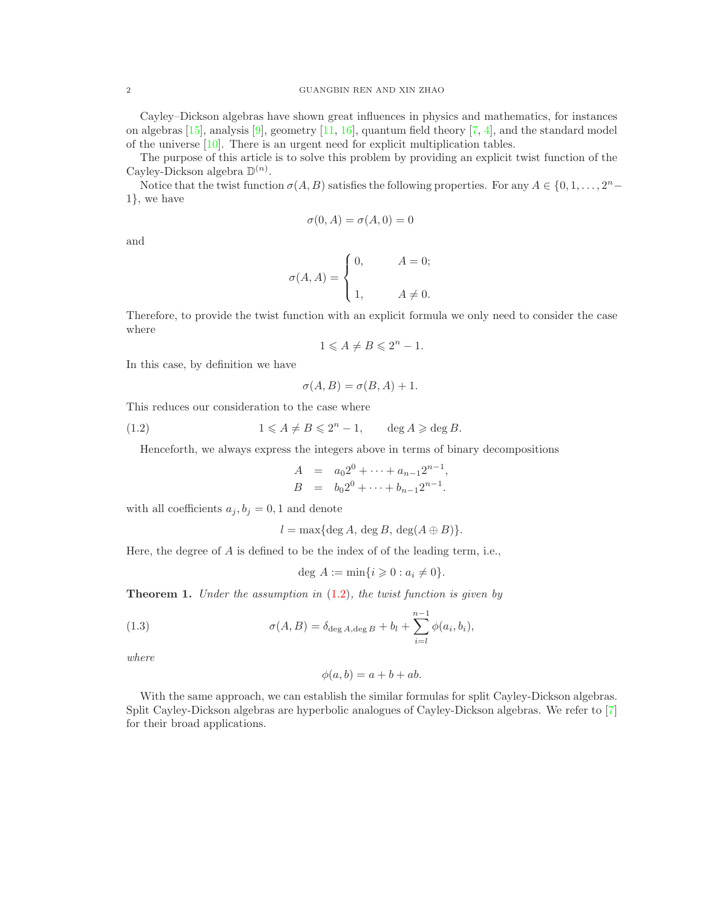Cayley–Dickson algebras have shown great influences in physics and mathematics, for instances on algebras  $[15]$ , analysis  $[9]$ , geometry  $[11, 16]$  $[11, 16]$ , quantum field theory  $[7, 4]$  $[7, 4]$ , and the standard model of the universe [\[10\]](#page-12-13). There is an urgent need for explicit multiplication tables.

The purpose of this article is to solve this problem by providing an explicit twist function of the Cayley-Dickson algebra  $\mathbb{D}^{(n)}$ .

Notice that the twist function  $\sigma(A, B)$  satisfies the following properties. For any  $A \in \{0, 1, \ldots, 2^n -$ 1}, we have

$$
\sigma(0, A) = \sigma(A, 0) = 0
$$

and

$$
\sigma(A, A) = \begin{cases} 0, & A = 0; \\ 1, & A \neq 0. \end{cases}
$$

Therefore, to provide the twist function with an explicit formula we only need to consider the case where

$$
1 \leqslant A \neq B \leqslant 2^n - 1.
$$

In this case, by definition we have

$$
\sigma(A, B) = \sigma(B, A) + 1.
$$

This reduces our consideration to the case where

(1.2) 
$$
1 \leq A \neq B \leq 2^n - 1, \qquad \deg A \geqslant \deg B.
$$

Henceforth, we always express the integers above in terms of binary decompositions

<span id="page-1-0"></span>
$$
A = a_0 2^0 + \dots + a_{n-1} 2^{n-1},
$$
  
\n
$$
B = b_0 2^0 + \dots + b_{n-1} 2^{n-1}.
$$

with all coefficients  $a_j, b_j = 0, 1$  and denote

$$
l = \max\{\deg A, \deg B, \deg(A \oplus B)\}.
$$

Here, the degree of A is defined to be the index of of the leading term, i.e.,

$$
\deg A := \min\{i \geqslant 0 : a_i \neq 0\}.
$$

**Theorem 1.** Under the assumption in  $(1.2)$ , the twist function is given by

(1.3) 
$$
\sigma(A, B) = \delta_{\deg A, \deg B} + b_l + \sum_{i=l}^{n-1} \phi(a_i, b_i),
$$

where

$$
\phi(a,b) = a + b + ab.
$$

With the same approach, we can establish the similar formulas for split Cayley-Dickson algebras. Split Cayley-Dickson algebras are hyperbolic analogues of Cayley-Dickson algebras. We refer to [\[7\]](#page-12-11) for their broad applications.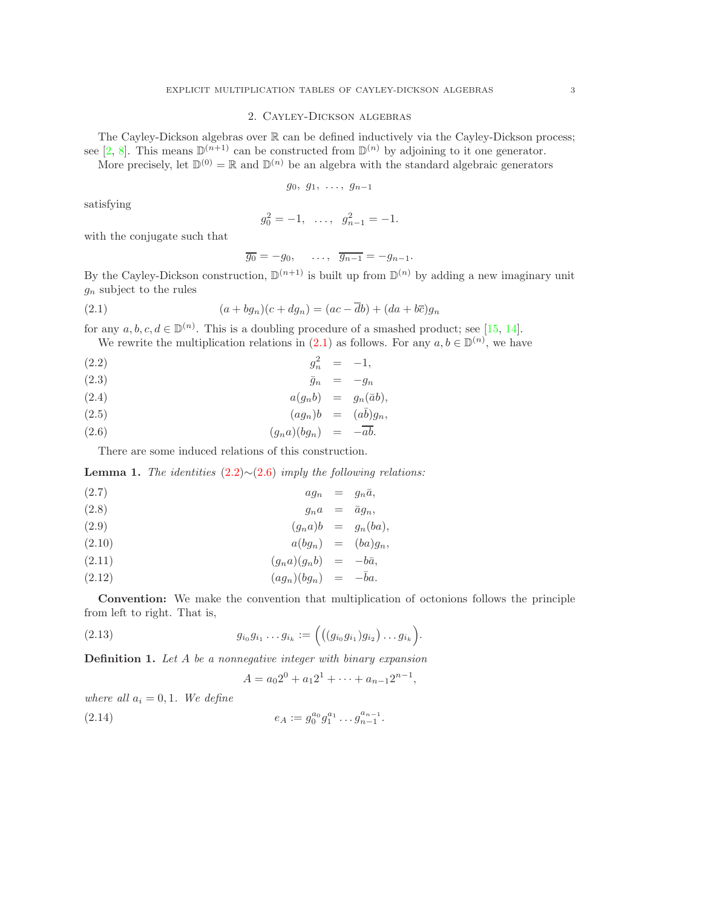# 2. Cayley-Dickson algebras

<span id="page-2-0"></span>The Cayley-Dickson algebras over  $\mathbb R$  can be defined inductively via the Cayley-Dickson process; see [\[2,](#page-12-14) [8\]](#page-12-15). This means  $\mathbb{D}^{(n+1)}$  can be constructed from  $\mathbb{D}^{(n)}$  by adjoining to it one generator.

More precisely, let  $\mathbb{D}^{(0)} = \mathbb{R}$  and  $\mathbb{D}^{(n)}$  be an algebra with the standard algebraic generators

$$
g_0, g_1, \ldots, g_{n-1}
$$

satisfying

$$
g_0^2 = -1, \ \ldots, \ \ g_{n-1}^2 = -1.
$$

with the conjugate such that

<span id="page-2-2"></span><span id="page-2-1"></span>
$$
\overline{g_0} = -g_0, \quad \ldots, \quad \overline{g_{n-1}} = -g_{n-1}.
$$

By the Cayley-Dickson construction,  $\mathbb{D}^{(n+1)}$  is built up from  $\mathbb{D}^{(n)}$  by adding a new imaginary unit  $g_n$  subject to the rules

(2.1) 
$$
(a + bg_n)(c + dg_n) = (ac - \overline{d}b) + (da + b\overline{c})g_n
$$

for any  $a, b, c, d \in \mathbb{D}^{(n)}$ . This is a doubling procedure of a smashed product; see [\[15,](#page-12-7) [14\]](#page-12-16). We rewrite the multiplication relations in  $(2.1)$  as follows. For any  $a, b \in \mathbb{D}^{(n)}$ , we have

$$
(2.2) \t\t g_n^2 = -1,
$$

$$
\bar{g}_n = -g_n
$$

$$
(2.4) \t a(g_nb) = g_n(\bar{a}b),
$$

$$
(2.5) \t\t (ag_n)b = (a\bar{b})g_n,
$$

(2.6) (gna)(bgn) = −ab.

There are some induced relations of this construction.

**Lemma 1.** The identities  $(2.2) \sim (2.6)$  $(2.2) \sim (2.6)$  $(2.2) \sim (2.6)$  imply the following relations:

$$
(2.7) \t\t a g_n = g_n \bar{a},
$$

$$
(2.8) \t\t g_n a = \bar{a} g_n,
$$

(2.9) (gna)b = gn(ba),

$$
(2.10) \t a(bg_n) = (ba)g_n,
$$

(2.11) (gna)(gnb) = −ba, ¯

$$
(2.12) \t\t (ag_n)(bg_n) = -\bar{b}a.
$$

Convention: We make the convention that multiplication of octonions follows the principle from left to right. That is,

(2.13) 
$$
g_{i_0}g_{i_1}\dots g_{i_k} := \Big(\big((g_{i_0}g_{i_1})g_{i_2}\big)\dots g_{i_k}\Big).
$$

**Definition 1.** Let A be a nonnegative integer with binary expansion

<span id="page-2-3"></span>
$$
A = a_0 2^0 + a_1 2^1 + \dots + a_{n-1} 2^{n-1},
$$

where all  $a_i = 0, 1$ . We define

(2.14) 
$$
e_A := g_0^{a_0} g_1^{a_1} \dots g_{n-1}^{a_{n-1}}.
$$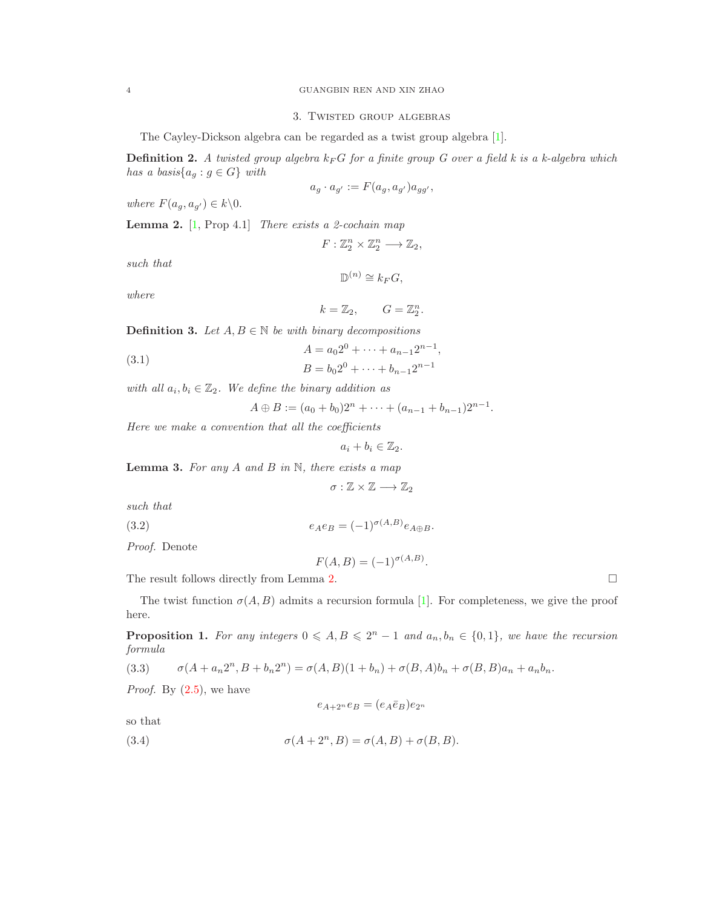## 3. Twisted group algebras

The Cayley-Dickson algebra can be regarded as a twist group algebra [\[1\]](#page-12-1).

**Definition 2.** A twisted group algebra  $k_F G$  for a finite group G over a field k is a k-algebra which has a basis $\{a_g : g \in G\}$  with

$$
a_g \cdot a_{g'} := F(a_g, a_{g'}) a_{gg'},
$$

<span id="page-3-1"></span>where  $F(a_q, a_{q'}) \in k \backslash 0$ .

**Lemma 2.**  $[1, \text{Prop } 4.1]$  $[1, \text{Prop } 4.1]$  There exists a 2-cochain map

$$
F:\mathbb{Z}_2^n\times\mathbb{Z}_2^n\longrightarrow\mathbb{Z}_2,
$$

such that

$$
\mathbb{D}^{(n)} \cong k_F G,
$$

where

$$
k=\mathbb{Z}_2,\qquad G=\mathbb{Z}_2^n.
$$

**Definition 3.** Let  $A, B \in \mathbb{N}$  be with binary decompositions

(3.1) 
$$
A = a_0 2^0 + \dots + a_{n-1} 2^{n-1},
$$

$$
B = b_0 2^0 + \dots + b_{n-1} 2^{n-1}
$$

with all  $a_i, b_i \in \mathbb{Z}_2$ . We define the binary addition as

$$
A \oplus B := (a_0 + b_0)2^n + \cdots + (a_{n-1} + b_{n-1})2^{n-1}.
$$

Here we make a convention that all the coefficients

$$
a_i+b_i\in\mathbb{Z}_2.
$$

**Lemma 3.** For any  $A$  and  $B$  in  $N$ , there exists a map

$$
\sigma:\mathbb{Z}\times\mathbb{Z}\longrightarrow\mathbb{Z}_2
$$

such that

$$
(3.2) \qquad \qquad e_A e_B = (-1)^{\sigma(A,B)} e_{A \oplus B}.
$$

Proof. Denote

<span id="page-3-4"></span>
$$
F(A, B) = (-1)^{\sigma(A, B)}.
$$

The result follows directly from Lemma [2.](#page-3-1)  $\Box$ 

<span id="page-3-3"></span>The twist function  $\sigma(A, B)$  admits a recursion formula [\[1\]](#page-12-1). For completeness, we give the proof here.

**Proposition 1.** For any integers  $0 \leq A, B \leq 2^n - 1$  and  $a_n, b_n \in \{0, 1\}$ , we have the recursion formula

(3.3) 
$$
\sigma(A + a_n 2^n, B + b_n 2^n) = \sigma(A, B)(1 + b_n) + \sigma(B, A)b_n + \sigma(B, B)a_n + a_n b_n.
$$

*Proof.* By  $(2.5)$ , we have

<span id="page-3-2"></span>
$$
e_{A+2^n}e_B = (e_A \bar{e}_B)e_{2^n}
$$

so that

(3.4) 
$$
\sigma(A+2^n,B)=\sigma(A,B)+\sigma(B,B).
$$

<span id="page-3-0"></span>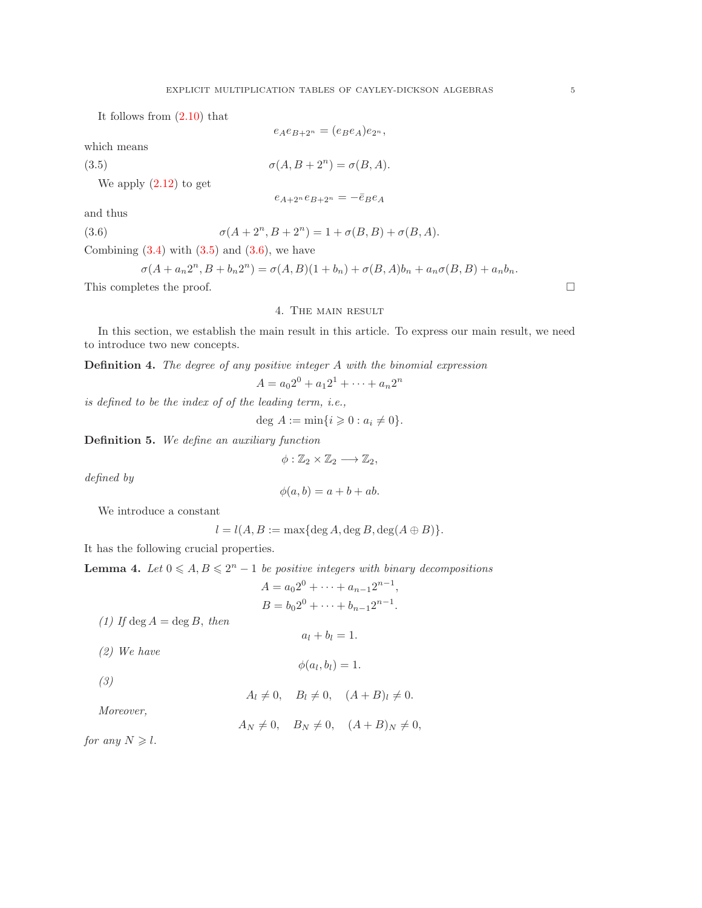It follows from [\(2.10\)](#page-2-3) that

which means

\n
$$
e_{A}e_{B+2^{n}} = (e_{B}e_{A})e_{2^{n}},
$$
\nwhich means

\n
$$
\sigma(A, B + 2^{n}) = \sigma(B, A).
$$
\nWe apply (2.12) to get

\n
$$
e_{A+2^{n}}e_{B+2^{n}} = -\bar{e}_{B}e_{A}
$$
\nand thus

and thus

(3.6)  $\sigma(A + 2^n, B + 2^n) = 1 + \sigma(B, B) + \sigma(B, A).$ 

Combining  $(3.4)$  with  $(3.5)$  and  $(3.6)$ , we have

<span id="page-4-2"></span>
$$
\sigma(A + a_n 2^n, B + b_n 2^n) = \sigma(A, B)(1 + b_n) + \sigma(B, A)b_n + a_n \sigma(B, B) + a_n b_n.
$$

<span id="page-4-0"></span>This completes the proof.  $\Box$ 

# <span id="page-4-1"></span>4. The main result

In this section, we establish the main result in this article. To express our main result, we need to introduce two new concepts.

Definition 4. The degree of any positive integer A with the binomial expression

 $A = a_0 2^0 + a_1 2^1 + \cdots + a_n 2^n$ 

is defined to be the index of of the leading term, i.e.,

deg  $A := \min\{i \geq 0 : a_i \neq 0\}.$ 

Definition 5. We define an auxiliary function

$$
\phi:\mathbb{Z}_2\times\mathbb{Z}_2\longrightarrow\mathbb{Z}_2,
$$

defined by

$$
\phi(a,b) = a + b + ab.
$$

We introduce a constant

$$
l = l(A, B) := \max\{\deg A, \deg B, \deg(A \oplus B)\}.
$$

<span id="page-4-3"></span>It has the following crucial properties.

**Lemma 4.** Let  $0 \leq A, B \leq 2^n - 1$  be positive integers with binary decompositions

$$
A = a_0 2^0 + \dots + a_{n-1} 2^{n-1},
$$
  
\n
$$
B = b_0 2^0 + \dots + b_{n-1} 2^{n-1}.
$$

(1) If deg  $A = \deg B$ , then

$$
a_l+b_l=1.
$$

(2) We have

$$
\phi(a_l, b_l) = 1.
$$

$$
(\mathcal{Y})
$$

$$
A_l \neq 0, \quad B_l \neq 0, \quad (A+B)_l \neq 0.
$$

Moreover,

$$
A_N \neq 0, \quad B_N \neq 0, \quad (A+B)_N \neq 0,
$$

for any  $N \geqslant l$ .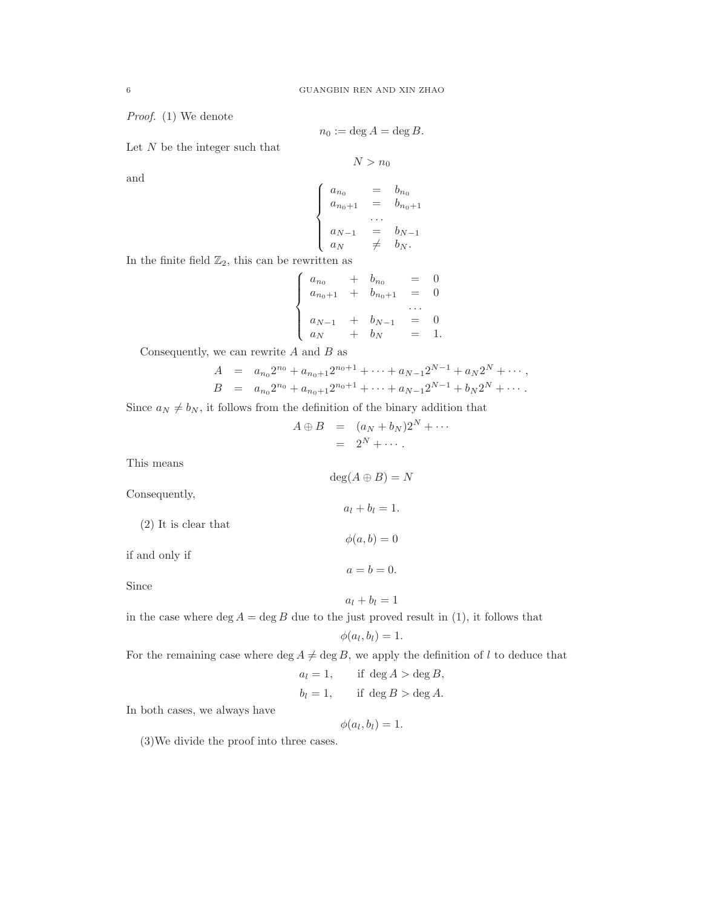Proof. (1) We denote

$$
n_0 := \deg A = \deg B.
$$

Let  $N$  be the integer such that

$$
N > n_0
$$

and

$$
\begin{cases}\n a_{n_0} = b_{n_0} \\
 a_{n_0+1} = b_{n_0+1} \\
 \dots \\
 a_{N-1} = b_{N-1} \\
 a_N \neq b_N.\n\end{cases}
$$

In the finite field  $\mathbb{Z}_2$ , this can be rewritten as

$$
\begin{cases}\n a_{n_0} + b_{n_0} = 0 \\
 a_{n_0+1} + b_{n_0+1} = 0 \\
 \dots \\
 a_N + b_N = 1\n\end{cases}
$$

Consequently, we can rewrite  $A$  and  $B$  as

$$
A = a_{n_0}2^{n_0} + a_{n_0+1}2^{n_0+1} + \dots + a_{N-1}2^{N-1} + a_N 2^N + \dots,
$$
  
\n
$$
B = a_{n_0}2^{n_0} + a_{n_0+1}2^{n_0+1} + \dots + a_{N-1}2^{N-1} + b_N 2^N + \dots.
$$

Since  $a_N \neq b_N$ , it follows from the definition of the binary addition that

$$
A \oplus B = (a_N + b_N)2^N + \cdots
$$
  
=  $2^N + \cdots$ 

 $\deg(A \oplus B) = N$ 

 $a_l + b_l = 1.$ 

 $\phi(a,b)=0$ 

 $a = b = 0.$ 

 $a_l + b_l = 1$ 

This means

Consequently,

(2) It is clear that

if and only if

Since

in the case where  $\deg A = \deg B$  due to the just proved result in (1), it follows that

$$
\phi(a_l, b_l) = 1.
$$

For the remaining case where  $\deg A \neq \deg B$ , we apply the definition of l to deduce that

$$
a_l = 1, \qquad \text{if } \deg A > \deg B,
$$

$$
b_l = 1, \qquad \text{if } \deg B > \deg A.
$$

In both cases, we always have

$$
\phi(a_l,b_l)=1.
$$

(3)We divide the proof into three cases.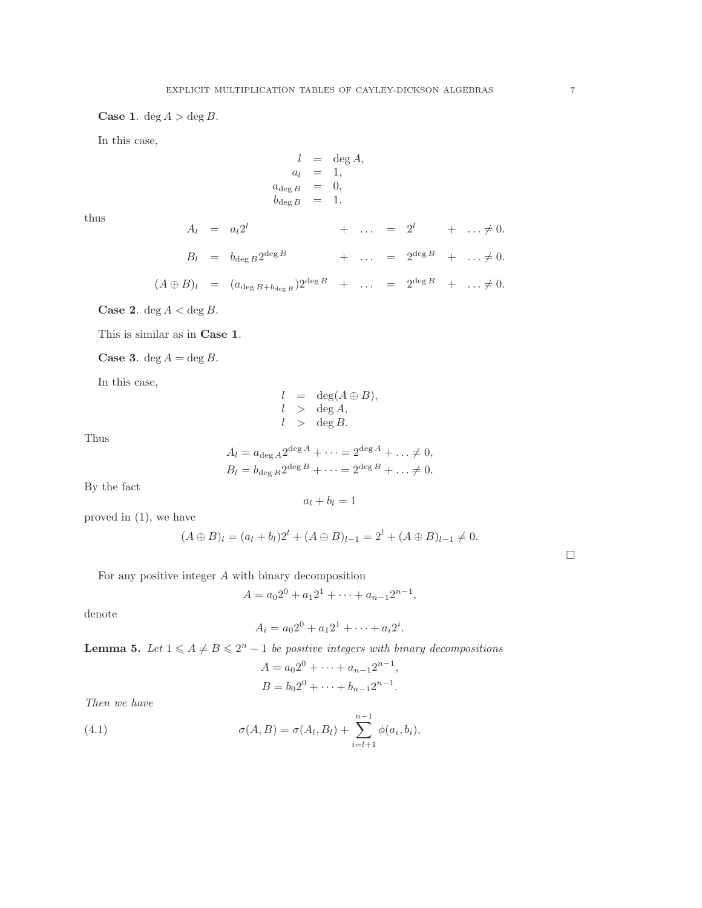**Case 1.** deg  $A > \deg B$ .

In this case,

$$
l = \deg A,
$$
  
\n
$$
a_l = 1,
$$
  
\n
$$
a_{\deg B} = 0,
$$
  
\n
$$
b_{\deg B} = 1.
$$

thus

$$
A_l = a_l 2^l + \dots = 2^l + \dots \neq 0.
$$
  
\n
$$
B_l = b_{\deg B} 2^{\deg B} + \dots = 2^{\deg B} + \dots \neq 0.
$$
  
\n
$$
(A \oplus B)_l = (a_{\deg B + b_{\deg B}}) 2^{\deg B} + \dots = 2^{\deg B} + \dots \neq 0.
$$

Case 2. 
$$
\deg A < \deg B
$$
.

This is similar as in Case 1.

**Case 3.** deg  $A = \deg B$ .

In this case,

$$
l = \deg(A \oplus B),
$$
  
\n
$$
l > \deg A,
$$
  
\n
$$
l > \deg B.
$$

Thus

$$
A_l = a_{\deg A} 2^{\deg A} + \dots = 2^{\deg A} + \dots \neq 0,
$$
  
\n
$$
B_l = b_{\deg B} 2^{\deg B} + \dots = 2^{\deg B} + \dots \neq 0.
$$

By the fact

$$
a_l+b_l=1
$$

proved in (1), we have

$$
(A \oplus B)_l = (a_l + b_l)2^l + (A \oplus B)_{l-1} = 2^l + (A \oplus B)_{l-1} \neq 0.
$$

For any positive integer A with binary decomposition

$$
A = a_0 2^0 + a_1 2^1 + \dots + a_{n-1} 2^{n-1},
$$

<span id="page-6-1"></span>denote

$$
A_i = a_0 2^0 + a_1 2^1 + \dots + a_i 2^i.
$$

**Lemma 5.** Let  $1 \leq A \neq B \leq 2^n - 1$  be positive integers with binary decompositions

<span id="page-6-0"></span>
$$
A = a_0 2^0 + \dots + a_{n-1} 2^{n-1},
$$
  
\n
$$
B = b_0 2^0 + \dots + b_{n-1} 2^{n-1}.
$$

Then we have

(4.1) 
$$
\sigma(A, B) = \sigma(A_l, B_l) + \sum_{i=l+1}^{n-1} \phi(a_i, b_i),
$$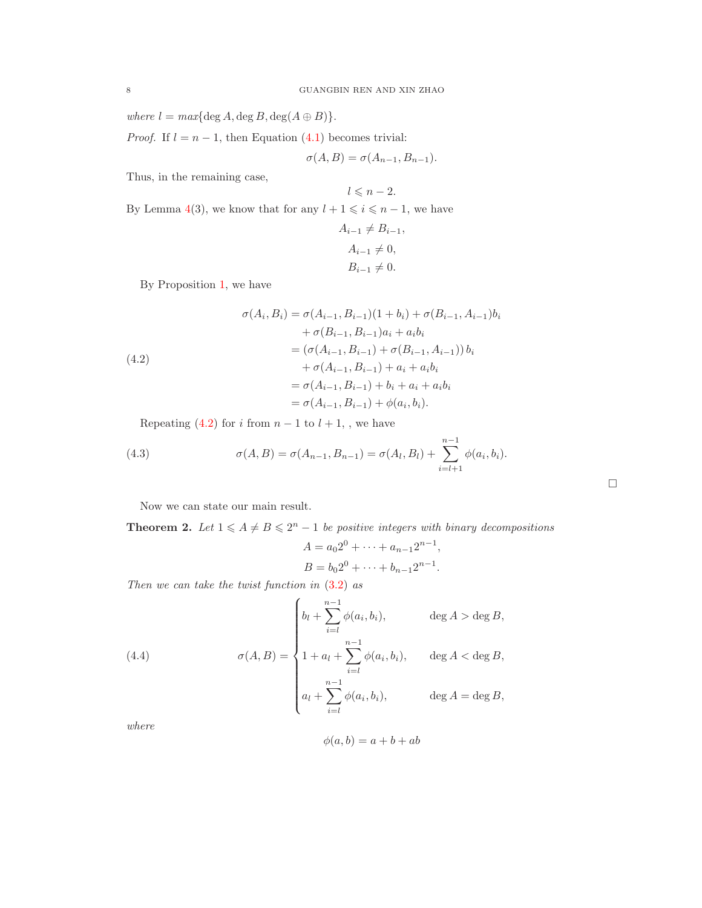where  $l = max{deg A, deg B, deg(A \oplus B)}.$ 

*Proof.* If  $l = n - 1$ , then Equation [\(4.1\)](#page-6-0) becomes trivial:

$$
\sigma(A, B) = \sigma(A_{n-1}, B_{n-1}).
$$

Thus, in the remaining case,

 $l \leqslant n-2.$ By Lemma [4\(](#page-4-3)3), we know that for any  $l + 1 \leq i \leq n - 1$ , we have

$$
A_{i-1} \neq B_{i-1},
$$
  
\n
$$
A_{i-1} \neq 0,
$$
  
\n
$$
B_{i-1} \neq 0.
$$

By Proposition [1,](#page-3-3) we have

(4.2)  
\n
$$
\sigma(A_i, B_i) = \sigma(A_{i-1}, B_{i-1})(1 + b_i) + \sigma(B_{i-1}, A_{i-1})b_i
$$
\n
$$
+ \sigma(B_{i-1}, B_{i-1})a_i + a_ib_i
$$
\n
$$
= (\sigma(A_{i-1}, B_{i-1}) + \sigma(B_{i-1}, A_{i-1}))b_i
$$
\n
$$
+ \sigma(A_{i-1}, B_{i-1}) + a_i + a_ib_i
$$
\n
$$
= \sigma(A_{i-1}, B_{i-1}) + b_i + a_i + a_ib_i
$$
\n
$$
= \sigma(A_{i-1}, B_{i-1}) + \phi(a_i, b_i).
$$

<span id="page-7-0"></span>Repeating [\(4.2\)](#page-7-0) for i from  $n-1$  to  $l+1$ , , we have

(4.3) 
$$
\sigma(A, B) = \sigma(A_{n-1}, B_{n-1}) = \sigma(A_l, B_l) + \sum_{i=l+1}^{n-1} \phi(a_i, b_i).
$$

<span id="page-7-1"></span>Now we can state our main result.

**Theorem 2.** Let  $1 \leq A \neq B \leq 2^n - 1$  be positive integers with binary decompositions

$$
A = a_0 2^0 + \dots + a_{n-1} 2^{n-1},
$$
  

$$
B = b_0 2^0 + \dots + b_{n-1} 2^{n-1}.
$$

 $\hfill \square$ 

Then we can take the twist function in  $(3.2)$  as

(4.4) 
$$
\sigma(A, B) = \begin{cases} b_l + \sum_{i=1}^{n-1} \phi(a_i, b_i), & \text{deg } A > \text{deg } B, \\ 1 + a_l + \sum_{i=1}^{n-1} \phi(a_i, b_i), & \text{deg } A < \text{deg } B, \\ a_l + \sum_{i=1}^{n-1} \phi(a_i, b_i), & \text{deg } A = \text{deg } B, \end{cases}
$$

where

$$
\phi(a, b) = a + b + ab
$$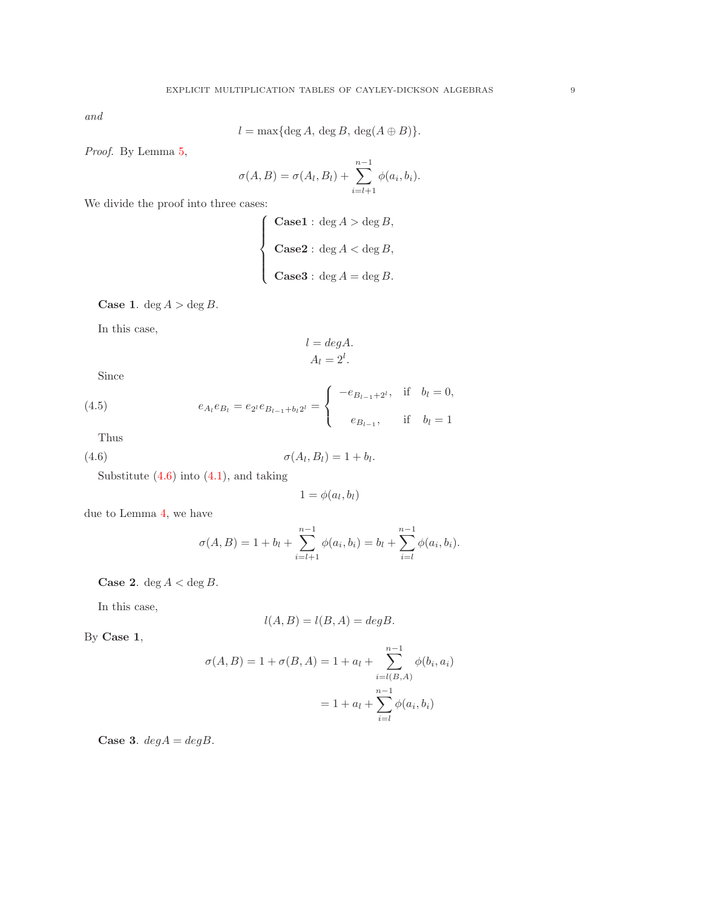and

$$
l = \max\{\deg A, \deg B, \deg(A \oplus B)\}.
$$

Proof. By Lemma [5,](#page-6-1)

$$
\sigma(A, B) = \sigma(A_l, B_l) + \sum_{i=l+1}^{n-1} \phi(a_i, b_i).
$$

We divide the proof into three cases:

$$
\begin{cases}\n\textbf{Case1}: \text{deg }A > \text{deg }B, \\
\textbf{Case2}: \text{deg }A < \text{deg }B, \\
\textbf{Case3}: \text{deg }A = \text{deg }B.\n\end{cases}
$$

**Case 1.** deg  $A > \deg B$ .

In this case,

$$
l = deg A.
$$

$$
A_l = 2^l.
$$

Since

(4.5) 
$$
e_{A_l}e_{B_l} = e_{2^l}e_{B_{l-1}+b_l}e_{2^l} = \begin{cases} -e_{B_{l-1}+2^l}, & \text{if } b_l = 0, \\ e_{B_{l-1}}, & \text{if } b_l = 1 \end{cases}
$$

Thus

$$
\sigma(A_l, B_l) = 1 + b_l.
$$

Substitute  $(4.6)$  into  $(4.1)$ , and taking

<span id="page-8-0"></span>
$$
1=\phi(a_l,b_l)
$$

due to Lemma [4,](#page-4-3) we have

$$
\sigma(A, B) = 1 + b_l + \sum_{i=l+1}^{n-1} \phi(a_i, b_i) = b_l + \sum_{i=l}^{n-1} \phi(a_i, b_i).
$$

**Case 2.** deg  $A <$  deg  $B$ .

In this case,

$$
l(A, B) = l(B, A) = degB.
$$

By Case 1,

$$
\sigma(A, B) = 1 + \sigma(B, A) = 1 + a_l + \sum_{i=l(B, A)}^{n-1} \phi(b_i, a_i)
$$

$$
= 1 + a_l + \sum_{i=l}^{n-1} \phi(a_i, b_i)
$$

Case 3.  $degA = degB$ .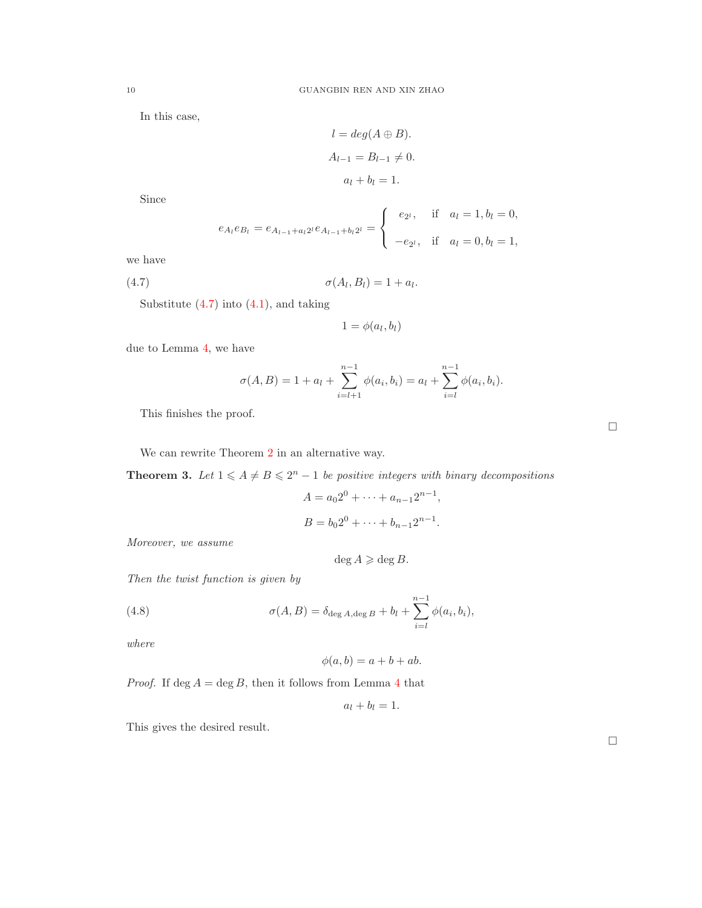In this case,

$$
l = deg(A \oplus B).
$$
  
\n
$$
A_{l-1} = B_{l-1} \neq 0.
$$
  
\n
$$
a_l + b_l = 1.
$$

Since

$$
e_{A_l}e_{B_l}=e_{A_{l-1}+a_l2^l}e_{A_{l-1}+b_l2^l}=\begin{cases}e_{2^l}, & \text{if } a_l=1, b_l=0, \\ -e_{2^l}, & \text{if } a_l=0, b_l=1,\end{cases}
$$

we have

$$
\sigma(A_l, B_l) = 1 + a_l.
$$

Substitute  $(4.7)$  into  $(4.1)$ , and taking

<span id="page-9-0"></span>
$$
1=\phi(a_l,b_l)
$$

due to Lemma [4,](#page-4-3) we have

$$
\sigma(A, B) = 1 + a_l + \sum_{i=l+1}^{n-1} \phi(a_i, b_i) = a_l + \sum_{i=l}^{n-1} \phi(a_i, b_i).
$$

This finishes the proof.

We can rewrite Theorem [2](#page-7-1) in an alternative way.

**Theorem 3.** Let  $1 \leq A \neq B \leq 2^n - 1$  be positive integers with binary decompositions

$$
A = a_0 2^0 + \dots + a_{n-1} 2^{n-1},
$$
  

$$
B = b_0 2^0 + \dots + b_{n-1} 2^{n-1}.
$$

Moreover, we assume

 $\deg A \geqslant \deg B$ .

Then the twist function is given by

(4.8) 
$$
\sigma(A, B) = \delta_{\deg A, \deg B} + b_l + \sum_{i=l}^{n-1} \phi(a_i, b_i),
$$

where

$$
\phi(a,b) = a + b + ab.
$$

*Proof.* If deg  $A = \deg B$ , then it follows from Lemma [4](#page-4-3) that

$$
a_l+b_l=1.
$$

This gives the desired result.

 $\Box$ 

 $\Box$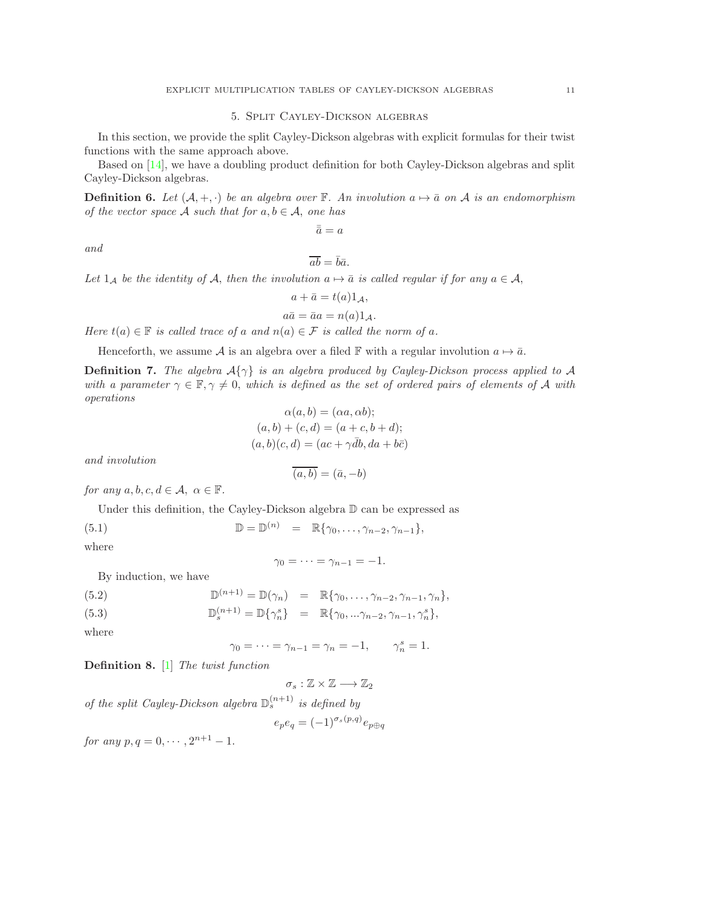# 5. Split Cayley-Dickson algebras

<span id="page-10-0"></span>In this section, we provide the split Cayley-Dickson algebras with explicit formulas for their twist functions with the same approach above.

Based on [\[14\]](#page-12-16), we have a doubling product definition for both Cayley-Dickson algebras and split Cayley-Dickson algebras.

**Definition 6.** Let  $(A, +, \cdot)$  be an algebra over F. An involution  $a \mapsto \overline{a}$  on A is an endomorphism of the vector space A such that for  $a, b \in A$ , one has

$$
\bar{\bar{a}} = a
$$

and

$$
\overline{ab} = \overline{b}\overline{a}.
$$

Let  $1_A$  be the identity of A, then the involution  $a \mapsto \bar{a}$  is called regular if for any  $a \in \mathcal{A}$ ,

$$
a + \bar{a} = t(a)1_{\mathcal{A}},
$$
  

$$
a\bar{a} = \bar{a}a = n(a)1_{\mathcal{A}}.
$$

Here  $t(a) \in \mathbb{F}$  is called trace of a and  $n(a) \in \mathcal{F}$  is called the norm of a.

Henceforth, we assume A is an algebra over a filed F with a regular involution  $a \mapsto \bar{a}$ .

**Definition 7.** The algebra  $A\{\gamma\}$  is an algebra produced by Cayley-Dickson process applied to A with a parameter  $\gamma \in \mathbb{F}, \gamma \neq 0$ , which is defined as the set of ordered pairs of elements of A with operations  $\alpha$  and  $\alpha$  ab)

$$
\alpha(a, b) = (\alpha a, \alpha b);
$$
  
\n
$$
(a, b) + (c, d) = (a + c, b + d);
$$
  
\n
$$
(a, b)(c, d) = (ac + \gamma \overline{d}b, da + b\overline{c})
$$

and involution

$$
\overline{(a,b)} = (\bar{a}, -b)
$$

for any  $a, b, c, d \in \mathcal{A}, \alpha \in \mathbb{F}$ .

Under this definition, the Cayley-Dickson algebra  $\mathbb D$  can be expressed as

(5.1)  $\mathbb{D} = \mathbb{D}^{(n)} = \mathbb{R}\{\gamma_0, \ldots, \gamma_{n-2}, \gamma_{n-1}\},$ 

where

$$
\gamma_0=\cdots=\gamma_{n-1}=-1.
$$

By induction, we have

(5.2) 
$$
\mathbb{D}^{(n+1)} = \mathbb{D}(\gamma_n) = \mathbb{R}\{\gamma_0, \dots, \gamma_{n-2}, \gamma_{n-1}, \gamma_n\},
$$

(5.3) 
$$
\mathbb{D}_{s}^{(n+1)} = \mathbb{D}\{\gamma_{n}^{s}\} = \mathbb{R}\{\gamma_{0},...\gamma_{n-2},\gamma_{n-1},\gamma_{n}^{s}\},
$$

where

$$
\gamma_0 = \dots = \gamma_{n-1} = \gamma_n = -1, \qquad \gamma_n^s = 1.
$$

Definition 8. [\[1\]](#page-12-1) The twist function

$$
\sigma_s:\mathbb{Z}\times\mathbb{Z}\longrightarrow\mathbb{Z}_2
$$

of the split Cayley-Dickson algebra  $\mathbb{D}_s^{(n+1)}$  is defined by

$$
e_p e_q = (-1)^{\sigma_s(p,q)} e_{p \oplus q}
$$

<span id="page-10-1"></span>for any  $p, q = 0, \dots, 2^{n+1} - 1$ .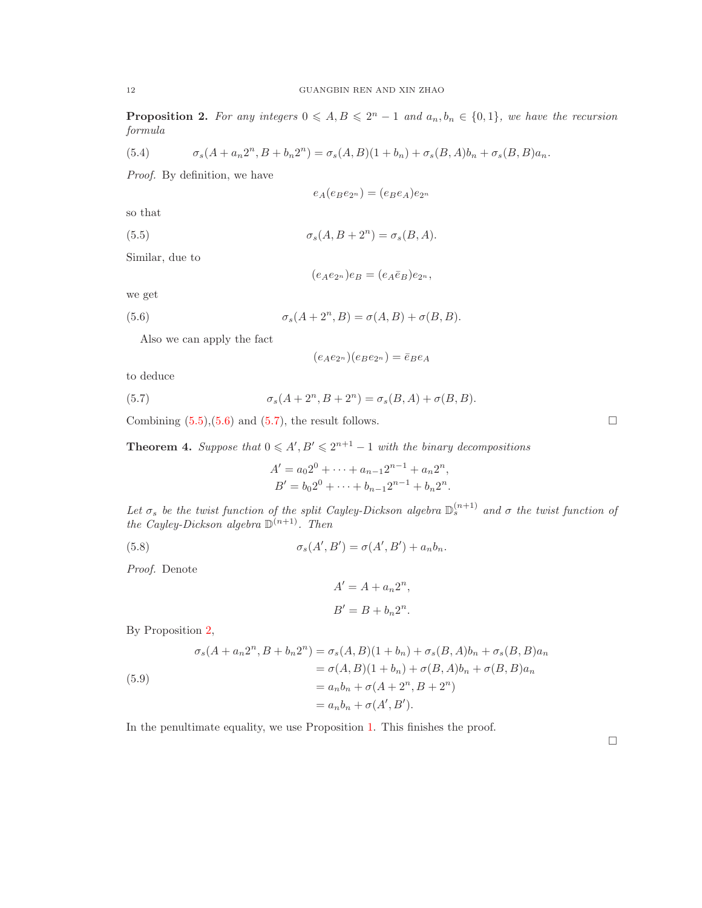**Proposition 2.** For any integers  $0 \leq A, B \leq 2^n - 1$  and  $a_n, b_n \in \{0, 1\}$ , we have the recursion formula

(5.4) 
$$
\sigma_s(A + a_n 2^n, B + b_n 2^n) = \sigma_s(A, B)(1 + b_n) + \sigma_s(B, A)b_n + \sigma_s(B, B)a_n.
$$

Proof. By definition, we have

<span id="page-11-0"></span>
$$
e_A(e_Be_{2^n}) = (e_Be_A)e_{2^n}
$$

so that

(5.5)  $\sigma_s(A, B + 2^n) = \sigma_s(B, A).$ 

Similar, due to

<span id="page-11-1"></span>
$$
(e_Ae_{2^n})e_B=(e_A\bar{e}_B)e_{2^n},
$$

we get

(5.6) 
$$
\sigma_s(A + 2^n, B) = \sigma(A, B) + \sigma(B, B).
$$

Also we can apply the fact

<span id="page-11-2"></span>
$$
(e_Ae_{2^n})(e_Be_{2^n})=\bar{e}_Be_A
$$

to deduce

(5.7) 
$$
\sigma_s(A+2^n, B+2^n) = \sigma_s(B,A) + \sigma(B,B).
$$

Combining  $(5.5),(5.6)$  $(5.5),(5.6)$  and  $(5.7)$ , the result follows.

**Theorem 4.** Suppose that  $0 \leq A', B' \leq 2^{n+1} - 1$  with the binary decompositions

$$
A' = a_0 2^0 + \dots + a_{n-1} 2^{n-1} + a_n 2^n,
$$
  
\n
$$
B' = b_0 2^0 + \dots + b_{n-1} 2^{n-1} + b_n 2^n.
$$

Let  $\sigma_s$  be the twist function of the split Cayley-Dickson algebra  $\mathbb{D}_s^{(n+1)}$  and  $\sigma$  the twist function of the Cayley-Dickson algebra  $\mathbb{D}^{(n+1)}$ . Then

(5.8)  $\sigma_s(A', B') = \sigma(A', B') + a_n b_n.$ 

Proof. Denote

$$
A' = A + a_n 2^n,
$$
  

$$
B' = B + b_n 2^n.
$$

By Proposition [2,](#page-10-1)

(5.9)  
\n
$$
\sigma_s(A + a_n 2^n, B + b_n 2^n) = \sigma_s(A, B)(1 + b_n) + \sigma_s(B, A)b_n + \sigma_s(B, B)a_n
$$
\n
$$
= \sigma(A, B)(1 + b_n) + \sigma(B, A)b_n + \sigma(B, B)a_n
$$
\n
$$
= a_n b_n + \sigma(A + 2^n, B + 2^n)
$$
\n
$$
= a_n b_n + \sigma(A', B').
$$

In the penultimate equality, we use Proposition [1.](#page-3-3) This finishes the proof.

 $\Box$